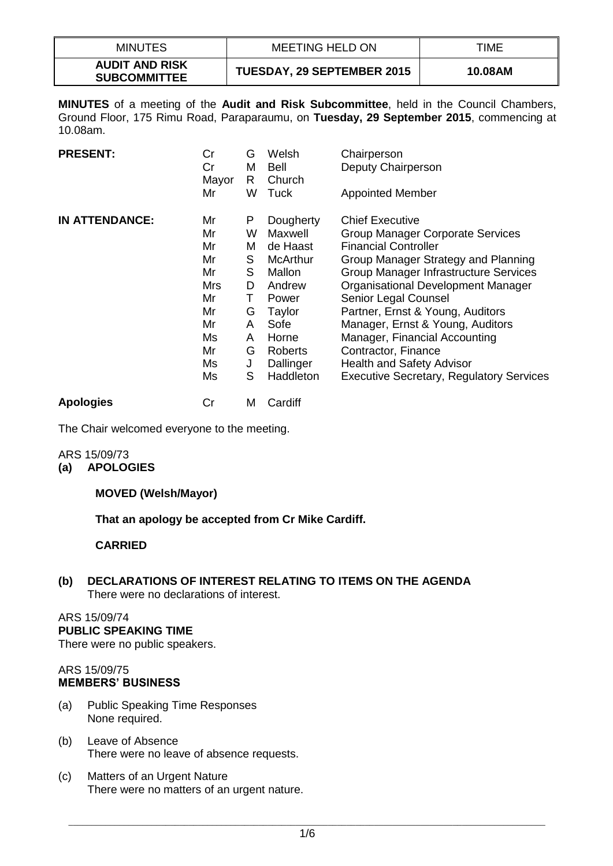| <b>MINUTES</b>                               | <b>MEETING HELD ON</b>     | TIME    |
|----------------------------------------------|----------------------------|---------|
| <b>AUDIT AND RISK</b><br><b>SUBCOMMITTEE</b> | TUESDAY, 29 SEPTEMBER 2015 | 10.08AM |

**MINUTES** of a meeting of the **Audit and Risk Subcommittee**, held in the Council Chambers, Ground Floor, 175 Rimu Road, Paraparaumu, on **Tuesday, 29 September 2015**, commencing at 10.08am.

| <b>PRESENT:</b>       | Cr<br>Cr<br>Mayor<br>Mr | G<br>M<br>R.<br>W | Welsh<br>Bell<br>Church<br>Tuck | Chairperson<br>Deputy Chairperson<br><b>Appointed Member</b>    |
|-----------------------|-------------------------|-------------------|---------------------------------|-----------------------------------------------------------------|
|                       |                         |                   |                                 |                                                                 |
| <b>IN ATTENDANCE:</b> | Mr                      | P                 | Dougherty                       | <b>Chief Executive</b>                                          |
|                       | Mr<br>Mr                | W<br>Μ            | Maxwell<br>de Haast             | Group Manager Corporate Services<br><b>Financial Controller</b> |
|                       | Mr                      | S.                | <b>McArthur</b>                 | Group Manager Strategy and Planning                             |
|                       | Mr                      | S                 | Mallon                          | Group Manager Infrastructure Services                           |
|                       | Mrs                     | D                 | Andrew                          | Organisational Development Manager                              |
|                       | Mr                      | т                 | Power                           | Senior Legal Counsel                                            |
|                       | Mr                      | G                 | Taylor                          | Partner, Ernst & Young, Auditors                                |
|                       | Mr                      | A                 | Sofe                            | Manager, Ernst & Young, Auditors                                |
|                       | Ms                      | A                 | Horne                           | Manager, Financial Accounting                                   |
|                       | Mr                      | G                 | Roberts                         | Contractor, Finance                                             |
|                       | Ms                      | J                 | Dallinger                       | <b>Health and Safety Advisor</b>                                |
|                       | Ms                      | S                 | Haddleton                       | <b>Executive Secretary, Regulatory Services</b>                 |
| <b>Apologies</b>      | Cr                      | M                 | Cardiff                         |                                                                 |

The Chair welcomed everyone to the meeting.

#### ARS 15/09/73 **(a) APOLOGIES**

# **MOVED (Welsh/Mayor)**

**That an apology be accepted from Cr Mike Cardiff.**

# **CARRIED**

**(b) DECLARATIONS OF INTEREST RELATING TO ITEMS ON THE AGENDA** There were no declarations of interest.

## ARS 15/09/74

### **PUBLIC SPEAKING TIME**

There were no public speakers.

#### ARS 15/09/75 **MEMBERS' BUSINESS**

- (a) Public Speaking Time Responses None required.
- (b) Leave of Absence There were no leave of absence requests.
- (c) Matters of an Urgent Nature There were no matters of an urgent nature.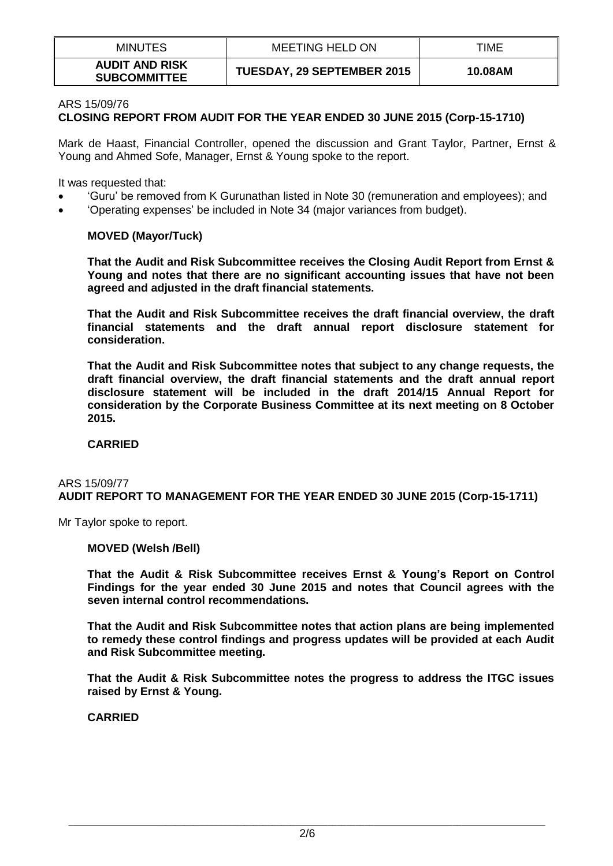| <b>MINUTES</b>                               | MEETING HELD ON            | TIME    |
|----------------------------------------------|----------------------------|---------|
| <b>AUDIT AND RISK</b><br><b>SUBCOMMITTEE</b> | TUESDAY, 29 SEPTEMBER 2015 | 10.08AM |

#### ARS 15/09/76 **CLOSING REPORT FROM AUDIT FOR THE YEAR ENDED 30 JUNE 2015 (Corp-15-1710)**

Mark de Haast, Financial Controller, opened the discussion and Grant Taylor, Partner, Ernst & Young and Ahmed Sofe, Manager, Ernst & Young spoke to the report.

It was requested that:

- 'Guru' be removed from K Gurunathan listed in Note 30 (remuneration and employees); and
- 'Operating expenses' be included in Note 34 (major variances from budget).

### **MOVED (Mayor/Tuck)**

**That the Audit and Risk Subcommittee receives the Closing Audit Report from Ernst & Young and notes that there are no significant accounting issues that have not been agreed and adjusted in the draft financial statements.**

**That the Audit and Risk Subcommittee receives the draft financial overview, the draft financial statements and the draft annual report disclosure statement for consideration.**

**That the Audit and Risk Subcommittee notes that subject to any change requests, the draft financial overview, the draft financial statements and the draft annual report disclosure statement will be included in the draft 2014/15 Annual Report for consideration by the Corporate Business Committee at its next meeting on 8 October 2015.**

### **CARRIED**

#### ARS 15/09/77 **AUDIT REPORT TO MANAGEMENT FOR THE YEAR ENDED 30 JUNE 2015 (Corp-15-1711)**

Mr Taylor spoke to report.

### **MOVED (Welsh /Bell)**

**That the Audit & Risk Subcommittee receives Ernst & Young's Report on Control Findings for the year ended 30 June 2015 and notes that Council agrees with the seven internal control recommendations.** 

**That the Audit and Risk Subcommittee notes that action plans are being implemented to remedy these control findings and progress updates will be provided at each Audit and Risk Subcommittee meeting.**

**That the Audit & Risk Subcommittee notes the progress to address the ITGC issues raised by Ernst & Young.** 

**CARRIED**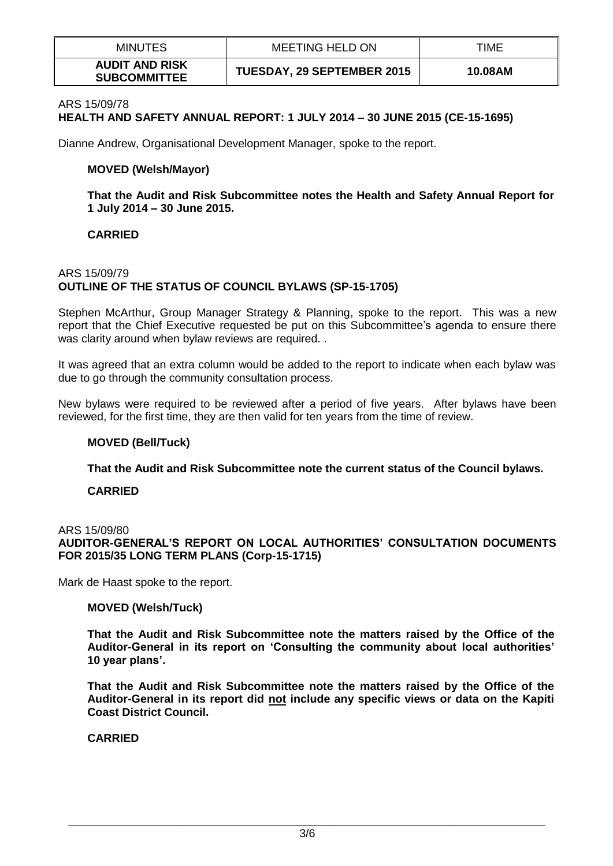| <b>MINUTES</b>                               | <b>MEETING HELD ON</b>            | TIME    |
|----------------------------------------------|-----------------------------------|---------|
| <b>AUDIT AND RISK</b><br><b>SUBCOMMITTEE</b> | <b>TUESDAY, 29 SEPTEMBER 2015</b> | 10.08AM |

#### ARS 15/09/78

# **HEALTH AND SAFETY ANNUAL REPORT: 1 JULY 2014 – 30 JUNE 2015 (CE-15-1695)**

Dianne Andrew, Organisational Development Manager, spoke to the report.

#### **MOVED (Welsh/Mayor)**

**That the Audit and Risk Subcommittee notes the Health and Safety Annual Report for 1 July 2014 – 30 June 2015.**

#### **CARRIED**

### ARS 15/09/79 **OUTLINE OF THE STATUS OF COUNCIL BYLAWS (SP-15-1705)**

Stephen McArthur, Group Manager Strategy & Planning, spoke to the report. This was a new report that the Chief Executive requested be put on this Subcommittee's agenda to ensure there was clarity around when bylaw reviews are required. .

It was agreed that an extra column would be added to the report to indicate when each bylaw was due to go through the community consultation process.

New bylaws were required to be reviewed after a period of five years. After bylaws have been reviewed, for the first time, they are then valid for ten years from the time of review.

#### **MOVED (Bell/Tuck)**

**That the Audit and Risk Subcommittee note the current status of the Council bylaws.** 

#### **CARRIED**

#### ARS 15/09/80

**AUDITOR-GENERAL'S REPORT ON LOCAL AUTHORITIES' CONSULTATION DOCUMENTS FOR 2015/35 LONG TERM PLANS (Corp-15-1715)**

Mark de Haast spoke to the report.

#### **MOVED (Welsh/Tuck)**

**That the Audit and Risk Subcommittee note the matters raised by the Office of the Auditor-General in its report on 'Consulting the community about local authorities' 10 year plans'.**

**That the Audit and Risk Subcommittee note the matters raised by the Office of the Auditor-General in its report did not include any specific views or data on the Kapiti Coast District Council.**

### **CARRIED**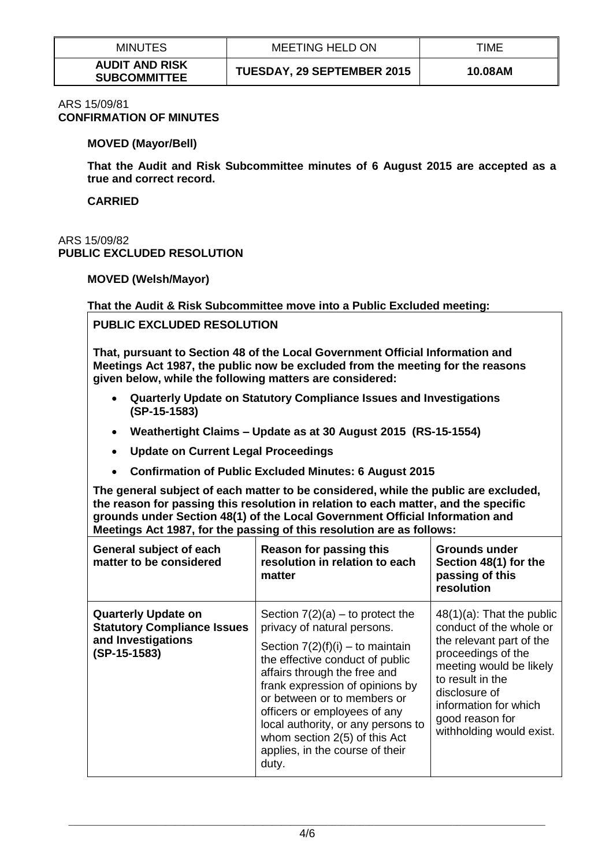| <b>MINUTES</b>                               | <b>MEETING HELD ON</b>            | TIME    |
|----------------------------------------------|-----------------------------------|---------|
| <b>AUDIT AND RISK</b><br><b>SUBCOMMITTEE</b> | <b>TUESDAY, 29 SEPTEMBER 2015</b> | 10.08AM |

#### ARS 15/09/81 **CONFIRMATION OF MINUTES**

### **MOVED (Mayor/Bell)**

**That the Audit and Risk Subcommittee minutes of 6 August 2015 are accepted as a true and correct record.** 

**CARRIED**

### ARS 15/09/82 **PUBLIC EXCLUDED RESOLUTION**

### **MOVED (Welsh/Mayor)**

### **That the Audit & Risk Subcommittee move into a Public Excluded meeting:**

# **PUBLIC EXCLUDED RESOLUTION**

**That, pursuant to Section 48 of the Local Government Official Information and Meetings Act 1987, the public now be excluded from the meeting for the reasons given below, while the following matters are considered:**

- **Quarterly Update on Statutory Compliance Issues and Investigations (SP-15-1583)**
- **Weathertight Claims – Update as at 30 August 2015 (RS-15-1554)**
- **Update on Current Legal Proceedings**
- **Confirmation of Public Excluded Minutes: 6 August 2015**

**The general subject of each matter to be considered, while the public are excluded, the reason for passing this resolution in relation to each matter, and the specific grounds under Section 48(1) of the Local Government Official Information and Meetings Act 1987, for the passing of this resolution are as follows:**

| General subject of each<br>matter to be considered                                                       | Reason for passing this<br>resolution in relation to each<br>matter                                                                                                                                                                                                                                                                                                                             | Grounds under<br>Section 48(1) for the<br>passing of this<br>resolution                                                                                                                                                                           |
|----------------------------------------------------------------------------------------------------------|-------------------------------------------------------------------------------------------------------------------------------------------------------------------------------------------------------------------------------------------------------------------------------------------------------------------------------------------------------------------------------------------------|---------------------------------------------------------------------------------------------------------------------------------------------------------------------------------------------------------------------------------------------------|
| <b>Quarterly Update on</b><br><b>Statutory Compliance Issues</b><br>and Investigations<br>$(SP-15-1583)$ | Section $7(2)(a)$ – to protect the<br>privacy of natural persons.<br>Section $7(2)(f)(i) -$ to maintain<br>the effective conduct of public<br>affairs through the free and<br>frank expression of opinions by<br>or between or to members or<br>officers or employees of any<br>local authority, or any persons to<br>whom section 2(5) of this Act<br>applies, in the course of their<br>duty. | $48(1)(a)$ : That the public<br>conduct of the whole or<br>the relevant part of the<br>proceedings of the<br>meeting would be likely<br>to result in the<br>disclosure of<br>information for which<br>good reason for<br>withholding would exist. |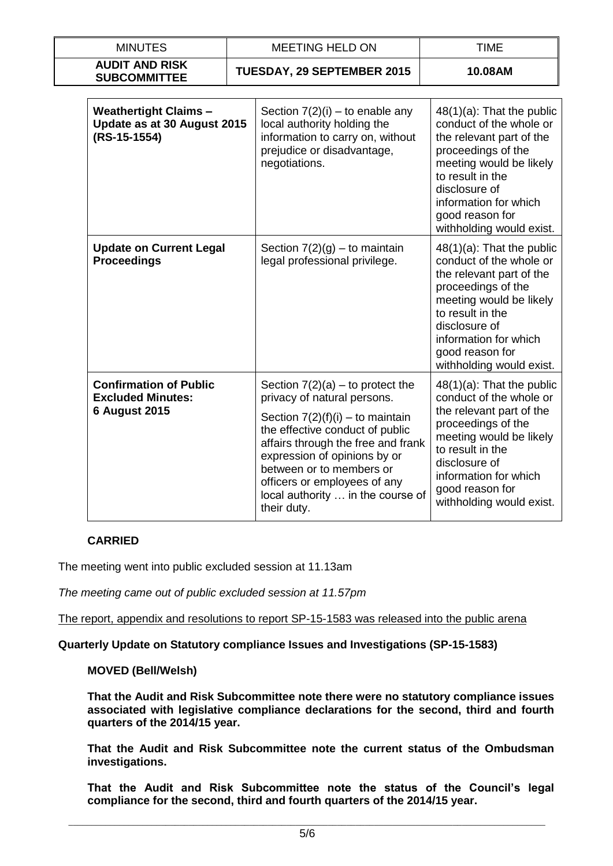| <b>MINUTES</b>                                                                    | <b>MEETING HELD ON</b> |                                                                                                                                                                                                                                                                                                                                  | <b>TIME</b>                                                                                                                                                                                                                                       |
|-----------------------------------------------------------------------------------|------------------------|----------------------------------------------------------------------------------------------------------------------------------------------------------------------------------------------------------------------------------------------------------------------------------------------------------------------------------|---------------------------------------------------------------------------------------------------------------------------------------------------------------------------------------------------------------------------------------------------|
| <b>AUDIT AND RISK</b><br><b>SUBCOMMITTEE</b>                                      |                        | TUESDAY, 29 SEPTEMBER 2015                                                                                                                                                                                                                                                                                                       | 10.08AM                                                                                                                                                                                                                                           |
| <b>Weathertight Claims -</b><br>Update as at 30 August 2015<br>(RS-15-1554)       |                        | Section $7(2)(i)$ – to enable any<br>local authority holding the<br>information to carry on, without<br>prejudice or disadvantage,<br>negotiations.                                                                                                                                                                              | $48(1)(a)$ : That the public<br>conduct of the whole or<br>the relevant part of the<br>proceedings of the<br>meeting would be likely<br>to result in the<br>disclosure of<br>information for which<br>good reason for<br>withholding would exist. |
| <b>Update on Current Legal</b><br><b>Proceedings</b>                              |                        | Section $7(2)(g)$ – to maintain<br>legal professional privilege.                                                                                                                                                                                                                                                                 | $48(1)(a)$ : That the public<br>conduct of the whole or<br>the relevant part of the<br>proceedings of the<br>meeting would be likely<br>to result in the<br>disclosure of<br>information for which<br>good reason for<br>withholding would exist. |
| <b>Confirmation of Public</b><br><b>Excluded Minutes:</b><br><b>6 August 2015</b> |                        | Section $7(2)(a)$ – to protect the<br>privacy of natural persons.<br>Section $7(2)(f)(i) -$ to maintain<br>the effective conduct of public<br>affairs through the free and frank<br>expression of opinions by or<br>between or to members or<br>officers or employees of any<br>local authority  in the course of<br>their duty. | $48(1)(a)$ : That the public<br>conduct of the whole or<br>the relevant part of the<br>proceedings of the<br>meeting would be likely<br>to result in the<br>disclosure of<br>information for which<br>good reason for<br>withholding would exist. |

# **CARRIED**

The meeting went into public excluded session at 11.13am

*The meeting came out of public excluded session at 11.57pm*

The report, appendix and resolutions to report SP-15-1583 was released into the public arena

### **Quarterly Update on Statutory compliance Issues and Investigations (SP-15-1583)**

### **MOVED (Bell/Welsh)**

**That the Audit and Risk Subcommittee note there were no statutory compliance issues associated with legislative compliance declarations for the second, third and fourth quarters of the 2014/15 year.**

**That the Audit and Risk Subcommittee note the current status of the Ombudsman investigations.**

**That the Audit and Risk Subcommittee note the status of the Council's legal compliance for the second, third and fourth quarters of the 2014/15 year.**